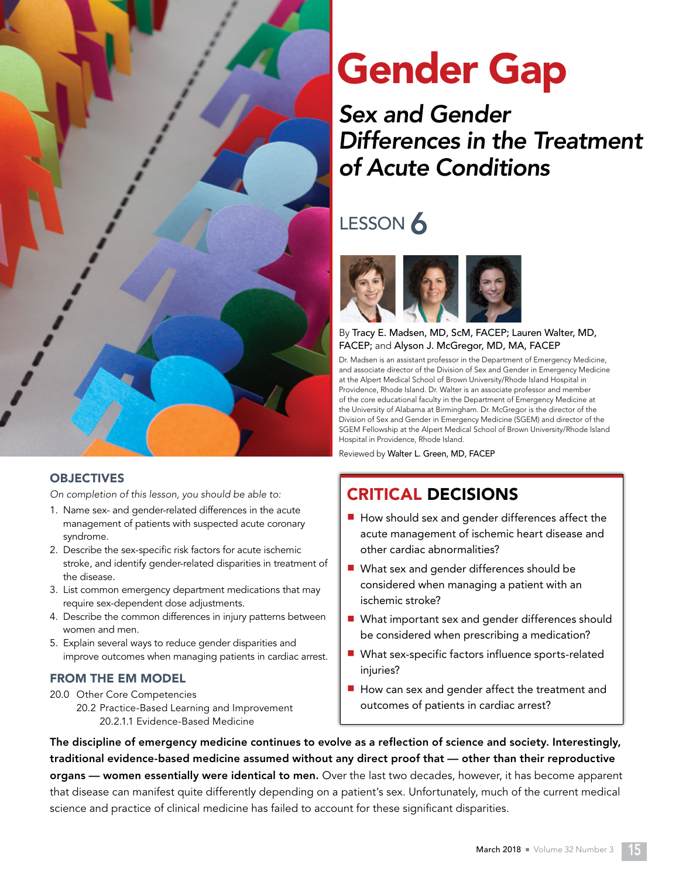

# **OBJECTIVES**

On completion of this lesson, you should be able to:

- 1. Name sex- and gender-related differences in the acute management of patients with suspected acute coronary syndrome.
- 2. Describe the sex-specific risk factors for acute ischemic stroke, and identify gender-related disparities in treatment of the disease.
- 3. List common emergency department medications that may require sex-dependent dose adjustments.
- 4. Describe the common differences in injury patterns between women and men.
- 5. Explain several ways to reduce gender disparities and improve outcomes when managing patients in cardiac arrest.

# FROM THE EM MODEL

20.0 Other Core Competencies 20.2 Practice-Based Learning and Improvement 20.2.1.1 Evidence-Based Medicine

# Gender Gap

# Sex and Gender Differences in the Treatment of Acute Conditions

# LESSON 6



# By Tracy E. Madsen, MD, ScM, FACEP; Lauren Walter, MD, FACEP; and Alyson J. McGregor, MD, MA, FACEP

Dr. Madsen is an assistant professor in the Department of Emergency Medicine, and associate director of the Division of Sex and Gender in Emergency Medicine at the Alpert Medical School of Brown University/Rhode Island Hospital in Providence, Rhode Island. Dr. Walter is an associate professor and member of the core educational faculty in the Department of Emergency Medicine at the University of Alabama at Birmingham. Dr. McGregor is the director of the Division of Sex and Gender in Emergency Medicine (SGEM) and director of the SGEM Fellowship at the Alpert Medical School of Brown University/Rhode Island Hospital in Providence, Rhode Island.

Reviewed by Walter L. Green, MD, FACEP

# CRITICAL DECISIONS

- $\blacksquare$  How should sex and gender differences affect the acute management of ischemic heart disease and other cardiac abnormalities?
- $\blacksquare$  What sex and gender differences should be considered when managing a patient with an ischemic stroke?
- $\blacksquare$  What important sex and gender differences should be considered when prescribing a medication?
- $\blacksquare$  What sex-specific factors influence sports-related injuries?
- $\blacksquare$  How can sex and gender affect the treatment and outcomes of patients in cardiac arrest?

The discipline of emergency medicine continues to evolve as a reflection of science and society. Interestingly, traditional evidence-based medicine assumed without any direct proof that — other than their reproductive organs — women essentially were identical to men. Over the last two decades, however, it has become apparent that disease can manifest quite differently depending on a patient's sex. Unfortunately, much of the current medical science and practice of clinical medicine has failed to account for these significant disparities.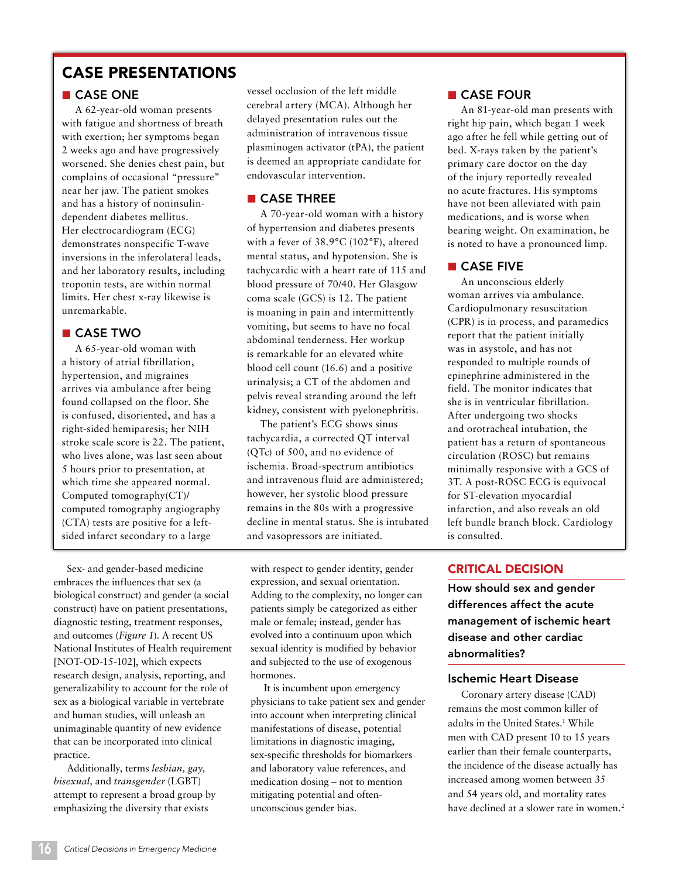# CASE PRESENTATIONS

# ■ CASE ONE

A 62-year-old woman presents with fatigue and shortness of breath with exertion; her symptoms began 2 weeks ago and have progressively worsened. She denies chest pain, but complains of occasional "pressure" near her jaw. The patient smokes and has a history of noninsulindependent diabetes mellitus. Her electrocardiogram (ECG) demonstrates nonspecific T-wave inversions in the inferolateral leads, and her laboratory results, including troponin tests, are within normal limits. Her chest x-ray likewise is unremarkable.

# ■ CASE TWO

A 65-year-old woman with a history of atrial fibrillation, hypertension, and migraines arrives via ambulance after being found collapsed on the floor. She is confused, disoriented, and has a right-sided hemiparesis; her NIH stroke scale score is 22. The patient, who lives alone, was last seen about 5 hours prior to presentation, at which time she appeared normal. Computed tomography(CT)/ computed tomography angiography (CTA) tests are positive for a leftsided infarct secondary to a large

Sex- and gender-based medicine embraces the influences that sex (a biological construct) and gender (a social construct) have on patient presentations, diagnostic testing, treatment responses, and outcomes (*Figure 1*). A recent US National Institutes of Health requirement [NOT-OD-15-102], which expects research design, analysis, reporting, and generalizability to account for the role of sex as a biological variable in vertebrate and human studies, will unleash an unimaginable quantity of new evidence that can be incorporated into clinical practice.

Additionally, terms *lesbian, gay, bisexual,* and *transgender* (LGBT) attempt to represent a broad group by emphasizing the diversity that exists

vessel occlusion of the left middle cerebral artery (MCA). Although her delayed presentation rules out the administration of intravenous tissue plasminogen activator (tPA), the patient is deemed an appropriate candidate for endovascular intervention.

# ■ CASE THREE

A 70-year-old woman with a history of hypertension and diabetes presents with a fever of 38.9°C (102°F), altered mental status, and hypotension. She is tachycardic with a heart rate of 115 and blood pressure of 70/40. Her Glasgow coma scale (GCS) is 12. The patient is moaning in pain and intermittently vomiting, but seems to have no focal abdominal tenderness. Her workup is remarkable for an elevated white blood cell count (16.6) and a positive urinalysis; a CT of the abdomen and pelvis reveal stranding around the left kidney, consistent with pyelonephritis.

The patient's ECG shows sinus tachycardia, a corrected QT interval (QTc) of 500, and no evidence of ischemia. Broad-spectrum antibiotics and intravenous fluid are administered; however, her systolic blood pressure remains in the 80s with a progressive decline in mental status. She is intubated and vasopressors are initiated.

with respect to gender identity, gender expression, and sexual orientation. Adding to the complexity, no longer can patients simply be categorized as either male or female; instead, gender has evolved into a continuum upon which sexual identity is modified by behavior and subjected to the use of exogenous hormones.

It is incumbent upon emergency physicians to take patient sex and gender into account when interpreting clinical manifestations of disease, potential limitations in diagnostic imaging, sex-specific thresholds for biomarkers and laboratory value references, and medication dosing – not to mention mitigating potential and oftenunconscious gender bias.

# ■ CASE FOUR

An 81-year-old man presents with right hip pain, which began 1 week ago after he fell while getting out of bed. X-rays taken by the patient's primary care doctor on the day of the injury reportedly revealed no acute fractures. His symptoms have not been alleviated with pain medications, and is worse when bearing weight. On examination, he is noted to have a pronounced limp.

# ■ CASE FIVE

An unconscious elderly woman arrives via ambulance. Cardiopulmonary resuscitation (CPR) is in process, and paramedics report that the patient initially was in asystole, and has not responded to multiple rounds of epinephrine administered in the field. The monitor indicates that she is in ventricular fibrillation. After undergoing two shocks and orotracheal intubation, the patient has a return of spontaneous circulation (ROSC) but remains minimally responsive with a GCS of 3T. A post-ROSC ECG is equivocal for ST-elevation myocardial infarction, and also reveals an old left bundle branch block. Cardiology is consulted.

# CRITICAL DECISION

How should sex and gender differences affect the acute management of ischemic heart disease and other cardiac abnormalities?

## Ischemic Heart Disease

Coronary artery disease (CAD) remains the most common killer of adults in the United States.1 While men with CAD present 10 to 15 years earlier than their female counterparts, the incidence of the disease actually has increased among women between 35 and 54 years old, and mortality rates have declined at a slower rate in women.<sup>2</sup>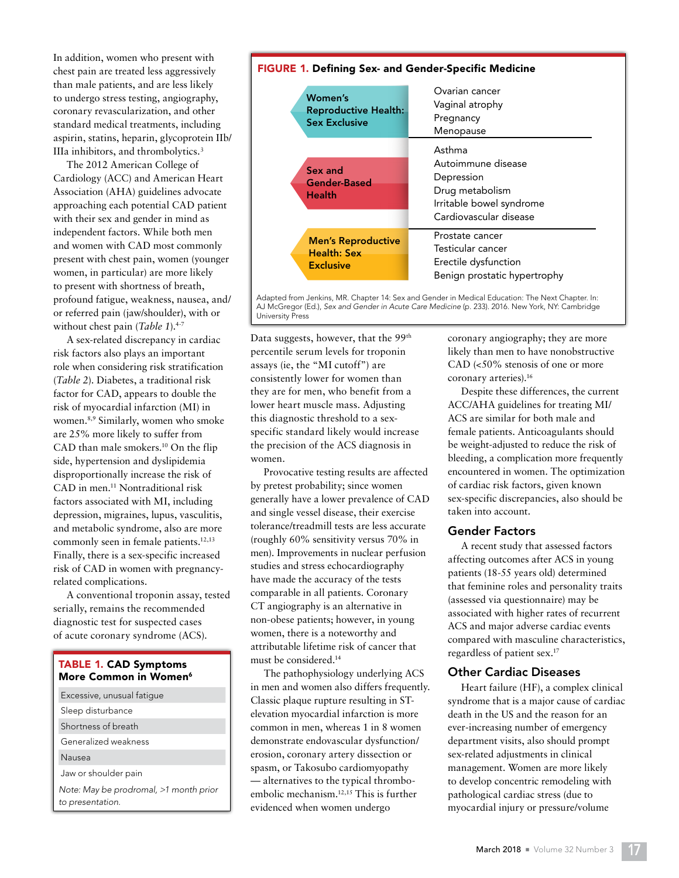In addition, women who present with chest pain are treated less aggressively than male patients, and are less likely to undergo stress testing, angiography, coronary revascularization, and other standard medical treatments, including aspirin, statins, heparin, glycoprotein IIb/ IIIa inhibitors, and thrombolytics.3

The 2012 American College of Cardiology (ACC) and American Heart Association (AHA) guidelines advocate approaching each potential CAD patient with their sex and gender in mind as independent factors. While both men and women with CAD most commonly present with chest pain, women (younger women, in particular) are more likely to present with shortness of breath, profound fatigue, weakness, nausea, and/ or referred pain (jaw/shoulder), with or without chest pain (*Table 1*).<sup>4-7</sup>

A sex-related discrepancy in cardiac risk factors also plays an important role when considering risk stratification (*Table 2*). Diabetes, a traditional risk factor for CAD, appears to double the risk of myocardial infarction (MI) in women.8,9 Similarly, women who smoke are 25% more likely to suffer from CAD than male smokers.10 On the flip side, hypertension and dyslipidemia disproportionally increase the risk of CAD in men.11 Nontraditional risk factors associated with MI, including depression, migraines, lupus, vasculitis, and metabolic syndrome, also are more commonly seen in female patients.<sup>12,13</sup> Finally, there is a sex-specific increased risk of CAD in women with pregnancyrelated complications.

A conventional troponin assay, tested serially, remains the recommended diagnostic test for suspected cases of acute coronary syndrome (ACS).

## TABLE 1. CAD Symptoms More Common in Women<sup>6</sup>

| Excessive, unusual fatique                                 |  |
|------------------------------------------------------------|--|
| Sleep disturbance                                          |  |
| Shortness of breath                                        |  |
| Generalized weakness                                       |  |
| Nausea                                                     |  |
| Jaw or shoulder pain                                       |  |
| Note: May be prodromal, >1 month prior<br>to presentation. |  |



Adapted from Jenkins, MR. Chapter 14: Sex and Gender in Medical Education: The Next Chapter. In: AJ McGregor (Ed.), *Sex and Gender in Acute Care Medicine* (p. 233). 2016. New York, NY: Cambridge University Press

Data suggests, however, that the 99<sup>th</sup> percentile serum levels for troponin assays (ie, the "MI cutoff") are consistently lower for women than they are for men, who benefit from a lower heart muscle mass. Adjusting this diagnostic threshold to a sexspecific standard likely would increase the precision of the ACS diagnosis in women.

Provocative testing results are affected by pretest probability; since women generally have a lower prevalence of CAD and single vessel disease, their exercise tolerance/treadmill tests are less accurate (roughly 60% sensitivity versus 70% in men). Improvements in nuclear perfusion studies and stress echocardiography have made the accuracy of the tests comparable in all patients. Coronary CT angiography is an alternative in non-obese patients; however, in young women, there is a noteworthy and attributable lifetime risk of cancer that must be considered.14

The pathophysiology underlying ACS in men and women also differs frequently. Classic plaque rupture resulting in STelevation myocardial infarction is more common in men, whereas 1 in 8 women demonstrate endovascular dysfunction/ erosion, coronary artery dissection or spasm, or Takosubo cardiomyopathy — alternatives to the typical thromboembolic mechanism.12,15 This is further evidenced when women undergo

coronary angiography; they are more likely than men to have nonobstructive CAD (<50% stenosis of one or more coronary arteries).16

Despite these differences, the current ACC/AHA guidelines for treating MI/ ACS are similar for both male and female patients. Anticoagulants should be weight-adjusted to reduce the risk of bleeding, a complication more frequently encountered in women. The optimization of cardiac risk factors, given known sex-specific discrepancies, also should be taken into account.

#### Gender Factors

A recent study that assessed factors affecting outcomes after ACS in young patients (18-55 years old) determined that feminine roles and personality traits (assessed via questionnaire) may be associated with higher rates of recurrent ACS and major adverse cardiac events compared with masculine characteristics, regardless of patient sex.17

## Other Cardiac Diseases

Heart failure (HF), a complex clinical syndrome that is a major cause of cardiac death in the US and the reason for an ever-increasing number of emergency department visits, also should prompt sex-related adjustments in clinical management. Women are more likely to develop concentric remodeling with pathological cardiac stress (due to myocardial injury or pressure/volume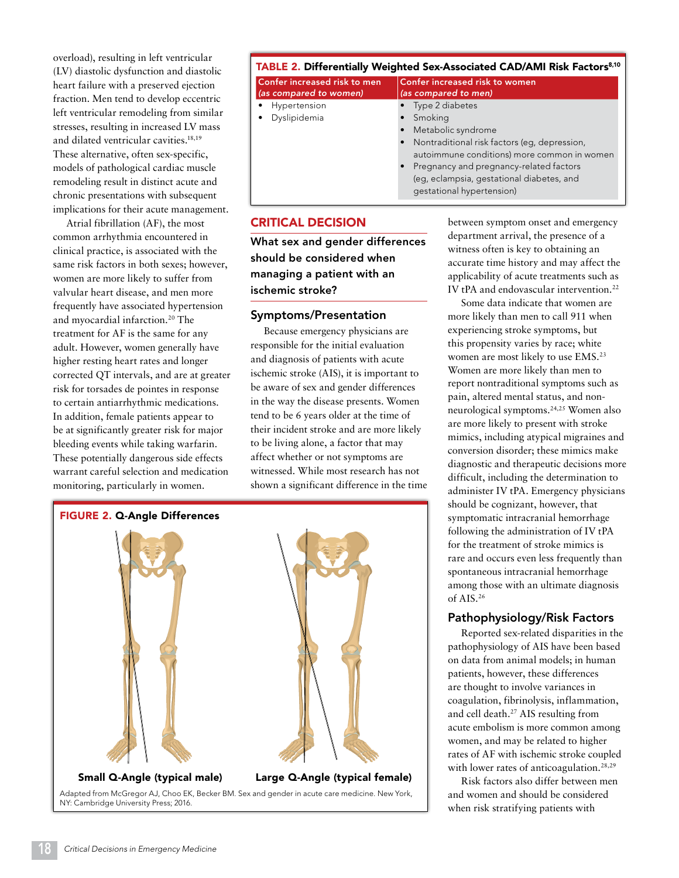overload), resulting in left ventricular (LV) diastolic dysfunction and diastolic heart failure with a preserved ejection fraction. Men tend to develop eccentric left ventricular remodeling from similar stresses, resulting in increased LV mass and dilated ventricular cavities.18,19 These alternative, often sex-specific, models of pathological cardiac muscle remodeling result in distinct acute and chronic presentations with subsequent implications for their acute management.

Atrial fibrillation (AF), the most common arrhythmia encountered in clinical practice, is associated with the same risk factors in both sexes; however, women are more likely to suffer from valvular heart disease, and men more frequently have associated hypertension and myocardial infarction.<sup>20</sup> The treatment for AF is the same for any adult. However, women generally have higher resting heart rates and longer corrected QT intervals, and are at greater risk for torsades de pointes in response to certain antiarrhythmic medications. In addition, female patients appear to be at significantly greater risk for major bleeding events while taking warfarin. These potentially dangerous side effects warrant careful selection and medication monitoring, particularly in women.

# TABLE 2. Differentially Weighted Sex-Associated CAD/AMI Risk Factors<sup>8,10</sup>

| Confer increased risk to men<br>(as compared to women) | Confer increased risk to women<br>(as compared to men) |
|--------------------------------------------------------|--------------------------------------------------------|
| • Hypertension                                         | • Type 2 diabetes                                      |
| · Dyslipidemia                                         | • Smoking                                              |
|                                                        | • Metabolic syndrome                                   |
|                                                        | • Nontraditional risk factors (eq. depression,         |
|                                                        | autoimmune conditions) more common in women            |
|                                                        | • Pregnancy and pregnancy-related factors              |
|                                                        | (eq, eclampsia, gestational diabetes, and              |
|                                                        | qestational hypertension)                              |
|                                                        |                                                        |

# CRITICAL DECISION

What sex and gender differences should be considered when managing a patient with an ischemic stroke?

#### Symptoms/Presentation

Because emergency physicians are responsible for the initial evaluation and diagnosis of patients with acute ischemic stroke (AIS), it is important to be aware of sex and gender differences in the way the disease presents. Women tend to be 6 years older at the time of their incident stroke and are more likely to be living alone, a factor that may affect whether or not symptoms are witnessed. While most research has not shown a significant difference in the time



between symptom onset and emergency department arrival, the presence of a witness often is key to obtaining an accurate time history and may affect the applicability of acute treatments such as IV tPA and endovascular intervention.<sup>22</sup>

Some data indicate that women are more likely than men to call 911 when experiencing stroke symptoms, but this propensity varies by race; white women are most likely to use EMS.23 Women are more likely than men to report nontraditional symptoms such as pain, altered mental status, and nonneurological symptoms.24,25 Women also are more likely to present with stroke mimics, including atypical migraines and conversion disorder; these mimics make diagnostic and therapeutic decisions more difficult, including the determination to administer IV tPA. Emergency physicians should be cognizant, however, that symptomatic intracranial hemorrhage following the administration of IV tPA for the treatment of stroke mimics is rare and occurs even less frequently than spontaneous intracranial hemorrhage among those with an ultimate diagnosis of AIS.26

#### Pathophysiology/Risk Factors

Reported sex-related disparities in the pathophysiology of AIS have been based on data from animal models; in human patients, however, these differences are thought to involve variances in coagulation, fibrinolysis, inflammation, and cell death.27 AIS resulting from acute embolism is more common among women, and may be related to higher rates of AF with ischemic stroke coupled with lower rates of anticoagulation.<sup>28,29</sup>

Risk factors also differ between men and women and should be considered when risk stratifying patients with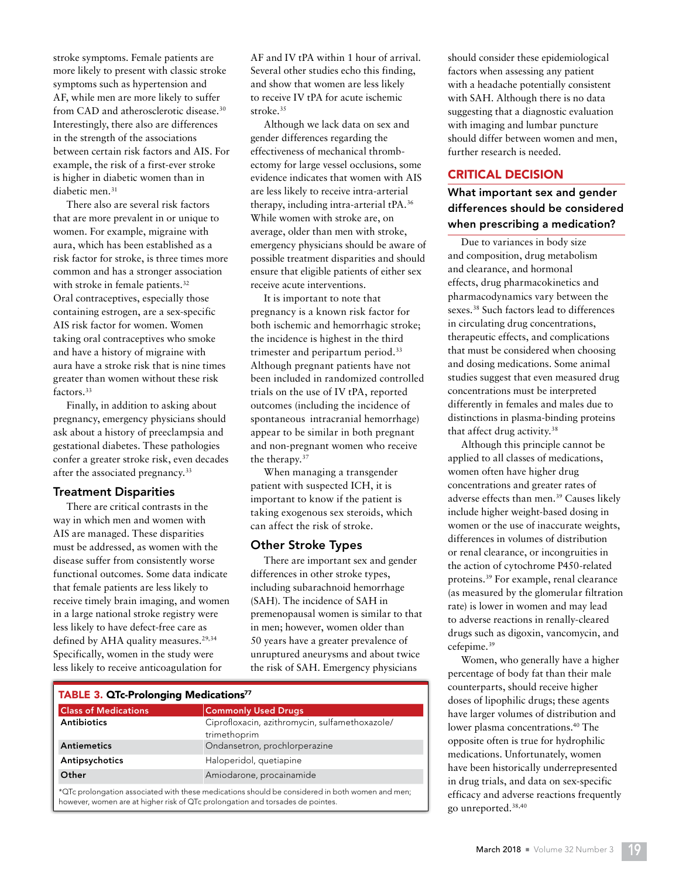stroke symptoms. Female patients are more likely to present with classic stroke symptoms such as hypertension and AF, while men are more likely to suffer from CAD and atherosclerotic disease.30 Interestingly, there also are differences in the strength of the associations between certain risk factors and AIS. For example, the risk of a first-ever stroke is higher in diabetic women than in diabetic men.<sup>31</sup>

There also are several risk factors that are more prevalent in or unique to women. For example, migraine with aura, which has been established as a risk factor for stroke, is three times more common and has a stronger association with stroke in female patients.<sup>32</sup> Oral contraceptives, especially those containing estrogen, are a sex-specific AIS risk factor for women. Women taking oral contraceptives who smoke and have a history of migraine with aura have a stroke risk that is nine times greater than women without these risk factors.33

Finally, in addition to asking about pregnancy, emergency physicians should ask about a history of preeclampsia and gestational diabetes. These pathologies confer a greater stroke risk, even decades after the associated pregnancy.<sup>33</sup>

# Treatment Disparities

There are critical contrasts in the way in which men and women with AIS are managed. These disparities must be addressed, as women with the disease suffer from consistently worse functional outcomes. Some data indicate that female patients are less likely to receive timely brain imaging, and women in a large national stroke registry were less likely to have defect-free care as defined by AHA quality measures.<sup>29,34</sup> Specifically, women in the study were less likely to receive anticoagulation for

AF and IV tPA within 1 hour of arrival. Several other studies echo this finding, and show that women are less likely to receive IV tPA for acute ischemic stroke.<sup>35</sup>

Although we lack data on sex and gender differences regarding the effectiveness of mechanical thrombectomy for large vessel occlusions, some evidence indicates that women with AIS are less likely to receive intra-arterial therapy, including intra-arterial tPA.36 While women with stroke are, on average, older than men with stroke, emergency physicians should be aware of possible treatment disparities and should ensure that eligible patients of either sex receive acute interventions.

It is important to note that pregnancy is a known risk factor for both ischemic and hemorrhagic stroke; the incidence is highest in the third trimester and peripartum period.<sup>33</sup> Although pregnant patients have not been included in randomized controlled trials on the use of IV tPA, reported outcomes (including the incidence of spontaneous intracranial hemorrhage) appear to be similar in both pregnant and non-pregnant women who receive the therapy.37

When managing a transgender patient with suspected ICH, it is important to know if the patient is taking exogenous sex steroids, which can affect the risk of stroke.

#### Other Stroke Types

There are important sex and gender differences in other stroke types, including subarachnoid hemorrhage (SAH). The incidence of SAH in premenopausal women is similar to that in men; however, women older than 50 years have a greater prevalence of unruptured aneurysms and about twice the risk of SAH. Emergency physicians

| <b>TABLE 3. QTc-Prolonging Medications77</b> |                                                                                                    |  |
|----------------------------------------------|----------------------------------------------------------------------------------------------------|--|
| <b>Class of Medications</b>                  | <b>Commonly Used Drugs</b>                                                                         |  |
| <b>Antibiotics</b>                           | Ciprofloxacin, azithromycin, sulfamethoxazole/<br>trimethoprim                                     |  |
| Antiemetics                                  | Ondansetron, prochlorperazine                                                                      |  |
| Antipsychotics                               | Haloperidol, quetiapine                                                                            |  |
| Other                                        | Amiodarone, procainamide                                                                           |  |
|                                              | *OTc prolongation associated with these medications should be considered in both women and mention |  |

\*QTc prolongation associated with these medications should be considered in both women and men; however, women are at higher risk of QTc prolongation and torsades de pointes.

should consider these epidemiological factors when assessing any patient with a headache potentially consistent with SAH. Although there is no data suggesting that a diagnostic evaluation with imaging and lumbar puncture should differ between women and men, further research is needed.

# CRITICAL DECISION

# What important sex and gender differences should be considered when prescribing a medication?

Due to variances in body size and composition, drug metabolism and clearance, and hormonal effects, drug pharmacokinetics and pharmacodynamics vary between the sexes.38 Such factors lead to differences in circulating drug concentrations, therapeutic effects, and complications that must be considered when choosing and dosing medications. Some animal studies suggest that even measured drug concentrations must be interpreted differently in females and males due to distinctions in plasma-binding proteins that affect drug activity.38

Although this principle cannot be applied to all classes of medications, women often have higher drug concentrations and greater rates of adverse effects than men.39 Causes likely include higher weight-based dosing in women or the use of inaccurate weights, differences in volumes of distribution or renal clearance, or incongruities in the action of cytochrome P450-related proteins.39 For example, renal clearance (as measured by the glomerular filtration rate) is lower in women and may lead to adverse reactions in renally-cleared drugs such as digoxin, vancomycin, and cefepime.39

Women, who generally have a higher percentage of body fat than their male counterparts, should receive higher doses of lipophilic drugs; these agents have larger volumes of distribution and lower plasma concentrations.40 The opposite often is true for hydrophilic medications. Unfortunately, women have been historically underrepresented in drug trials, and data on sex-specific efficacy and adverse reactions frequently go unreported.38,40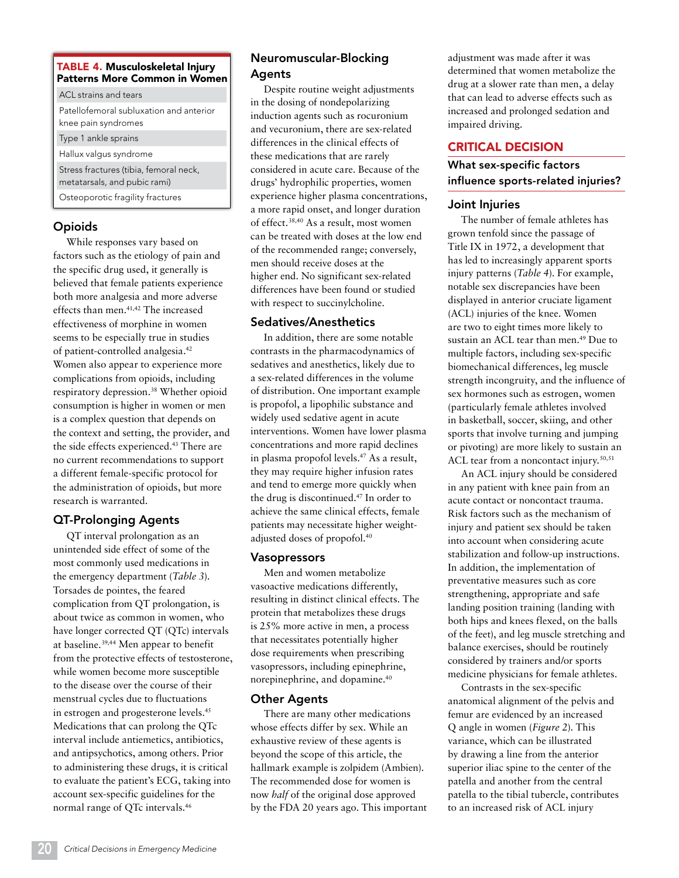## TABLE 4. Musculoskeletal Injury Patterns More Common in Women

ACL strains and tears Patellofemoral subluxation and anterior knee pain syndromes Type 1 ankle sprains Hallux valgus syndrome Stress fractures (tibia, femoral neck, metatarsals, and pubic rami) Osteoporotic fragility fractures

# **Opioids**

While responses vary based on factors such as the etiology of pain and the specific drug used, it generally is believed that female patients experience both more analgesia and more adverse effects than men.41,42 The increased effectiveness of morphine in women seems to be especially true in studies of patient-controlled analgesia.42 Women also appear to experience more complications from opioids, including respiratory depression.38 Whether opioid consumption is higher in women or men is a complex question that depends on the context and setting, the provider, and the side effects experienced.43 There are no current recommendations to support a different female-specific protocol for the administration of opioids, but more research is warranted.

# QT-Prolonging Agents

QT interval prolongation as an unintended side effect of some of the most commonly used medications in the emergency department (*Table 3*). Torsades de pointes, the feared complication from QT prolongation, is about twice as common in women, who have longer corrected QT (QTc) intervals at baseline.39,44 Men appear to benefit from the protective effects of testosterone, while women become more susceptible to the disease over the course of their menstrual cycles due to fluctuations in estrogen and progesterone levels.45 Medications that can prolong the QTc interval include antiemetics, antibiotics, and antipsychotics, among others. Prior to administering these drugs, it is critical to evaluate the patient's ECG, taking into account sex-specific guidelines for the normal range of QTc intervals.46

# Neuromuscular-Blocking Agents

Despite routine weight adjustments in the dosing of nondepolarizing induction agents such as rocuronium and vecuronium, there are sex-related differences in the clinical effects of these medications that are rarely considered in acute care. Because of the drugs' hydrophilic properties, women experience higher plasma concentrations, a more rapid onset, and longer duration of effect.38,40 As a result, most women can be treated with doses at the low end of the recommended range; conversely, men should receive doses at the higher end. No significant sex-related differences have been found or studied with respect to succinylcholine.

# Sedatives/Anesthetics

In addition, there are some notable contrasts in the pharmacodynamics of sedatives and anesthetics, likely due to a sex-related differences in the volume of distribution. One important example is propofol, a lipophilic substance and widely used sedative agent in acute interventions. Women have lower plasma concentrations and more rapid declines in plasma propofol levels.47 As a result, they may require higher infusion rates and tend to emerge more quickly when the drug is discontinued.47 In order to achieve the same clinical effects, female patients may necessitate higher weightadjusted doses of propofol.40

# **Vasopressors**

Men and women metabolize vasoactive medications differently, resulting in distinct clinical effects. The protein that metabolizes these drugs is 25% more active in men, a process that necessitates potentially higher dose requirements when prescribing vasopressors, including epinephrine, norepinephrine, and dopamine.40

# Other Agents

There are many other medications whose effects differ by sex. While an exhaustive review of these agents is beyond the scope of this article, the hallmark example is zolpidem (Ambien). The recommended dose for women is now *half* of the original dose approved by the FDA 20 years ago. This important adjustment was made after it was determined that women metabolize the drug at a slower rate than men, a delay that can lead to adverse effects such as increased and prolonged sedation and impaired driving.

# CRITICAL DECISION

# What sex-specific factors influence sports-related injuries?

# Joint Injuries

The number of female athletes has grown tenfold since the passage of Title IX in 1972, a development that has led to increasingly apparent sports injury patterns (*Table 4*). For example, notable sex discrepancies have been displayed in anterior cruciate ligament (ACL) injuries of the knee. Women are two to eight times more likely to sustain an ACL tear than men.49 Due to multiple factors, including sex-specific biomechanical differences, leg muscle strength incongruity, and the influence of sex hormones such as estrogen, women (particularly female athletes involved in basketball, soccer, skiing, and other sports that involve turning and jumping or pivoting) are more likely to sustain an ACL tear from a noncontact injury. $50,51$ 

An ACL injury should be considered in any patient with knee pain from an acute contact or noncontact trauma. Risk factors such as the mechanism of injury and patient sex should be taken into account when considering acute stabilization and follow-up instructions. In addition, the implementation of preventative measures such as core strengthening, appropriate and safe landing position training (landing with both hips and knees flexed, on the balls of the feet), and leg muscle stretching and balance exercises, should be routinely considered by trainers and/or sports medicine physicians for female athletes.

Contrasts in the sex-specific anatomical alignment of the pelvis and femur are evidenced by an increased Q angle in women (*Figure 2*). This variance, which can be illustrated by drawing a line from the anterior superior iliac spine to the center of the patella and another from the central patella to the tibial tubercle, contributes to an increased risk of ACL injury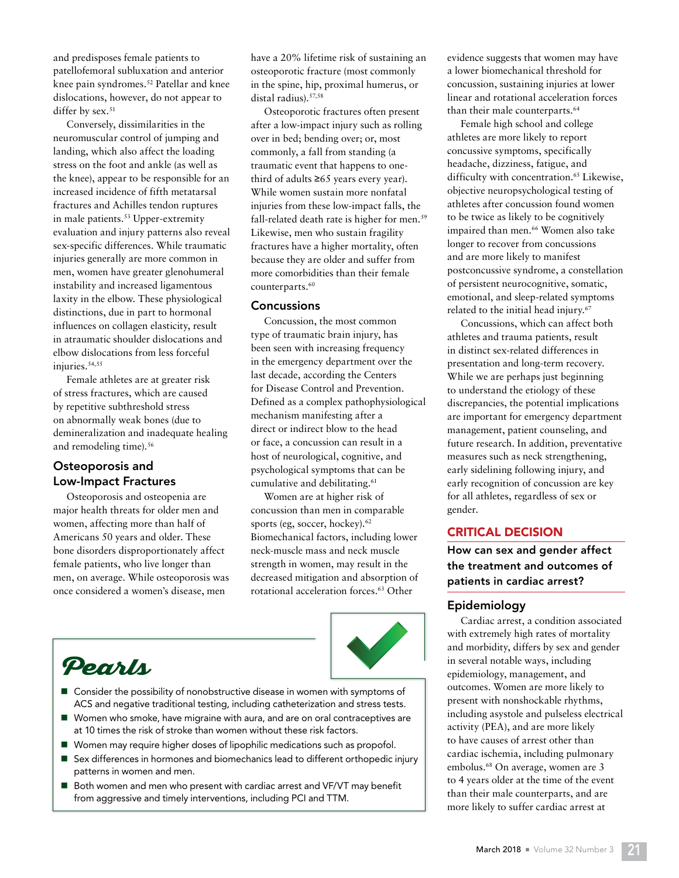and predisposes female patients to patellofemoral subluxation and anterior knee pain syndromes.<sup>52</sup> Patellar and knee dislocations, however, do not appear to differ by sex.<sup>51</sup>

Conversely, dissimilarities in the neuromuscular control of jumping and landing, which also affect the loading stress on the foot and ankle (as well as the knee), appear to be responsible for an increased incidence of fifth metatarsal fractures and Achilles tendon ruptures in male patients.<sup>53</sup> Upper-extremity evaluation and injury patterns also reveal sex-specific differences. While traumatic injuries generally are more common in men, women have greater glenohumeral instability and increased ligamentous laxity in the elbow. These physiological distinctions, due in part to hormonal influences on collagen elasticity, result in atraumatic shoulder dislocations and elbow dislocations from less forceful injuries.<sup>54,55</sup>

Female athletes are at greater risk of stress fractures, which are caused by repetitive subthreshold stress on abnormally weak bones (due to demineralization and inadequate healing and remodeling time).<sup>56</sup>

# Osteoporosis and Low-Impact Fractures

Osteoporosis and osteopenia are major health threats for older men and women, affecting more than half of Americans 50 years and older. These bone disorders disproportionately affect female patients, who live longer than men, on average. While osteoporosis was once considered a women's disease, men

have a 20% lifetime risk of sustaining an osteoporotic fracture (most commonly in the spine, hip, proximal humerus, or distal radius).57,58

Osteoporotic fractures often present after a low-impact injury such as rolling over in bed; bending over; or, most commonly, a fall from standing (a traumatic event that happens to onethird of adults  $≥65$  years every year). While women sustain more nonfatal injuries from these low-impact falls, the fall-related death rate is higher for men.<sup>59</sup> Likewise, men who sustain fragility fractures have a higher mortality, often because they are older and suffer from more comorbidities than their female counterparts.<sup>60</sup>

#### **Concussions**

Concussion, the most common type of traumatic brain injury, has been seen with increasing frequency in the emergency department over the last decade, according the Centers for Disease Control and Prevention. Defined as a complex pathophysiological mechanism manifesting after a direct or indirect blow to the head or face, a concussion can result in a host of neurological, cognitive, and psychological symptoms that can be cumulative and debilitating.<sup>61</sup>

Women are at higher risk of concussion than men in comparable sports (eg, soccer, hockey).<sup>62</sup> Biomechanical factors, including lower neck-muscle mass and neck muscle strength in women, may result in the decreased mitigation and absorption of rotational acceleration forces.63 Other



- Pearls
- $\blacksquare$  Consider the possibility of nonobstructive disease in women with symptoms of ACS and negative traditional testing, including catheterization and stress tests.
- Women who smoke, have migraine with aura, and are on oral contraceptives are at 10 times the risk of stroke than women without these risk factors.
- Women may require higher doses of lipophilic medications such as propofol.
- Sex differences in hormones and biomechanics lead to different orthopedic injury patterns in women and men.
- Both women and men who present with cardiac arrest and VF/VT may benefit from aggressive and timely interventions, including PCI and TTM.

evidence suggests that women may have a lower biomechanical threshold for concussion, sustaining injuries at lower linear and rotational acceleration forces than their male counterparts.<sup>64</sup>

Female high school and college athletes are more likely to report concussive symptoms, specifically headache, dizziness, fatigue, and difficulty with concentration.<sup>65</sup> Likewise, objective neuropsychological testing of athletes after concussion found women to be twice as likely to be cognitively impaired than men.66 Women also take longer to recover from concussions and are more likely to manifest postconcussive syndrome, a constellation of persistent neurocognitive, somatic, emotional, and sleep-related symptoms related to the initial head injury.67

Concussions, which can affect both athletes and trauma patients, result in distinct sex-related differences in presentation and long-term recovery. While we are perhaps just beginning to understand the etiology of these discrepancies, the potential implications are important for emergency department management, patient counseling, and future research. In addition, preventative measures such as neck strengthening, early sidelining following injury, and early recognition of concussion are key for all athletes, regardless of sex or gender.

#### CRITICAL DECISION

How can sex and gender affect the treatment and outcomes of patients in cardiac arrest?

#### Epidemiology

Cardiac arrest, a condition associated with extremely high rates of mortality and morbidity, differs by sex and gender in several notable ways, including epidemiology, management, and outcomes. Women are more likely to present with nonshockable rhythms, including asystole and pulseless electrical activity (PEA), and are more likely to have causes of arrest other than cardiac ischemia, including pulmonary embolus.<sup>68</sup> On average, women are 3 to 4 years older at the time of the event than their male counterparts, and are more likely to suffer cardiac arrest at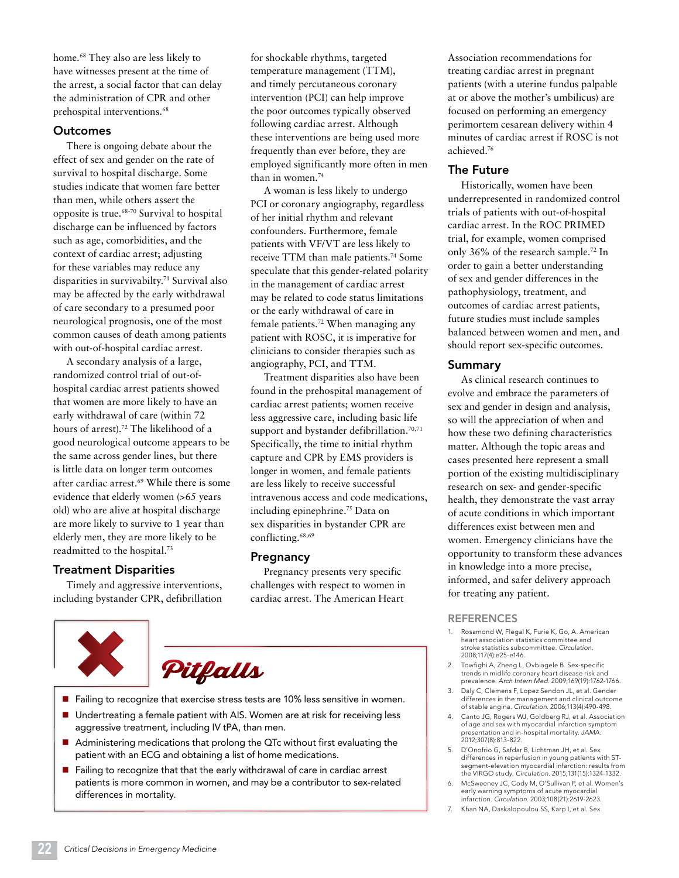home.<sup>68</sup> They also are less likely to have witnesses present at the time of the arrest, a social factor that can delay the administration of CPR and other prehospital interventions.<sup>68</sup>

## **Outcomes**

There is ongoing debate about the effect of sex and gender on the rate of survival to hospital discharge. Some studies indicate that women fare better than men, while others assert the opposite is true.68-70 Survival to hospital discharge can be influenced by factors such as age, comorbidities, and the context of cardiac arrest; adjusting for these variables may reduce any disparities in survivabilty.71 Survival also may be affected by the early withdrawal of care secondary to a presumed poor neurological prognosis, one of the most common causes of death among patients with out-of-hospital cardiac arrest.

A secondary analysis of a large, randomized control trial of out-ofhospital cardiac arrest patients showed that women are more likely to have an early withdrawal of care (within 72 hours of arrest).72 The likelihood of a good neurological outcome appears to be the same across gender lines, but there is little data on longer term outcomes after cardiac arrest.69 While there is some evidence that elderly women (>65 years old) who are alive at hospital discharge are more likely to survive to 1 year than elderly men, they are more likely to be readmitted to the hospital.73

# Treatment Disparities

Timely and aggressive interventions, including bystander CPR, defibrillation for shockable rhythms, targeted temperature management (TTM), and timely percutaneous coronary intervention (PCI) can help improve the poor outcomes typically observed following cardiac arrest. Although these interventions are being used more frequently than ever before, they are employed significantly more often in men than in women.74

A woman is less likely to undergo PCI or coronary angiography, regardless of her initial rhythm and relevant confounders. Furthermore, female patients with VF/VT are less likely to receive TTM than male patients.74 Some speculate that this gender-related polarity in the management of cardiac arrest may be related to code status limitations or the early withdrawal of care in female patients.72 When managing any patient with ROSC, it is imperative for clinicians to consider therapies such as angiography, PCI, and TTM.

Treatment disparities also have been found in the prehospital management of cardiac arrest patients; women receive less aggressive care, including basic life support and bystander defibrillation.<sup>70,71</sup> Specifically, the time to initial rhythm capture and CPR by EMS providers is longer in women, and female patients are less likely to receive successful intravenous access and code medications, including epinephrine.75 Data on sex disparities in bystander CPR are conflicting.<sup>68,69</sup>

# Pregnancy

Pregnancy presents very specific challenges with respect to women in cardiac arrest. The American Heart





- $\blacksquare$  Failing to recognize that exercise stress tests are 10% less sensitive in women.
- Undertreating a female patient with AIS. Women are at risk for receiving less aggressive treatment, including IV tPA, than men.
- Administering medications that prolong the QTc without first evaluating the patient with an ECG and obtaining a list of home medications.
- Failing to recognize that that the early withdrawal of care in cardiac arrest patients is more common in women, and may be a contributor to sex-related differences in mortality.

Association recommendations for treating cardiac arrest in pregnant patients (with a uterine fundus palpable at or above the mother's umbilicus) are focused on performing an emergency perimortem cesarean delivery within 4 minutes of cardiac arrest if ROSC is not achieved.76

# The Future

Historically, women have been underrepresented in randomized control trials of patients with out-of-hospital cardiac arrest. In the ROC PRIMED trial, for example, women comprised only 36% of the research sample.72 In order to gain a better understanding of sex and gender differences in the pathophysiology, treatment, and outcomes of cardiac arrest patients, future studies must include samples balanced between women and men, and should report sex-specific outcomes.

# Summary

As clinical research continues to evolve and embrace the parameters of sex and gender in design and analysis, so will the appreciation of when and how these two defining characteristics matter. Although the topic areas and cases presented here represent a small portion of the existing multidisciplinary research on sex- and gender-specific health, they demonstrate the vast array of acute conditions in which important differences exist between men and women. Emergency clinicians have the opportunity to transform these advances in knowledge into a more precise, informed, and safer delivery approach for treating any patient.

# **REFERENCES**

- Rosamond W, Flegal K, Furie K, Go, A. American heart association statistics committee and stroke statistics subcommittee. *Circulation.* 2008;117(4):e25-e146.
- 2. Towfighi A, Zheng L, Ovbiagele B. Sex-specific trends in midlife coronary heart disease risk and prevalence. *Arch Intern Med.* 2009;169(19):1762-1766.
- 3. Daly C, Clemens F, Lopez Sendon JL, et al*.* Gender differences in the management and clinical outcome of stable angina. *Circulation.* 2006;113(4):490-498.
- 4. Canto JG, Rogers WJ, Goldberg RJ, et al*.* Association of age and sex with myocardial infarction symptom presentation and in-hospital mortality. *JAMA.* 2012;307(8):813-822.
- 5. D'Onofrio G, Safdar B, Lichtman JH, et al*.* Sex differences in reperfusion in young patients with STsegment-elevation myocardial infarction: results from the VIRGO study. *Circulation.* 2015;131(15):1324-1332.
- 6. McSweeney JC, Cody M, O'Sullivan P, et al*.* Women's early warning symptoms of acute myocardial infarction. *Circulation.* 2003;108(21):2619-2623.
- 7. Khan NA, Daskalopoulou SS, Karp I, et al*.* Sex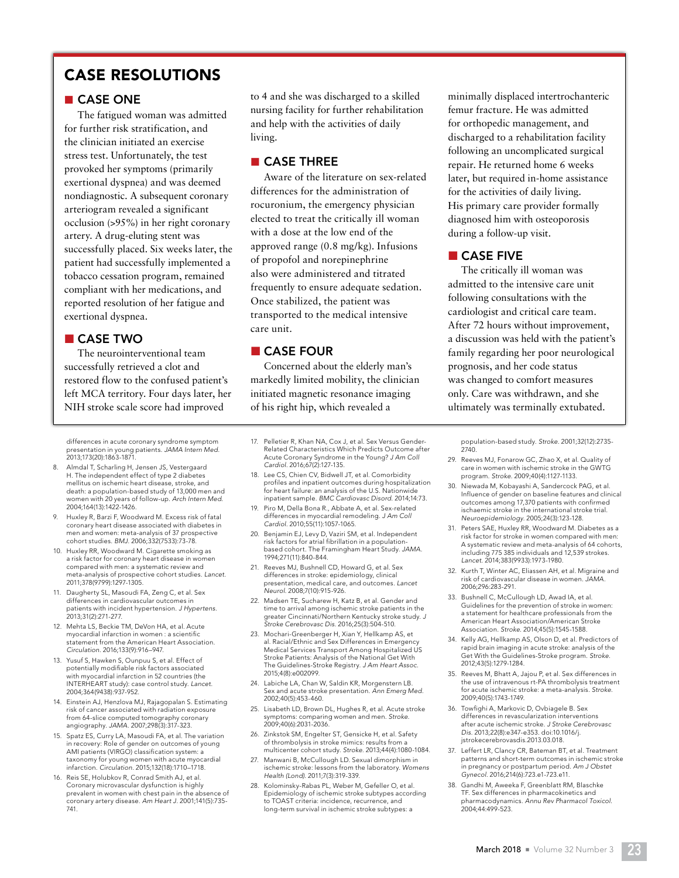# CASE RESOLUTIONS

# ■ CASE ONE

The fatigued woman was admitted for further risk stratification, and the clinician initiated an exercise stress test. Unfortunately, the test provoked her symptoms (primarily exertional dyspnea) and was deemed nondiagnostic. A subsequent coronary arteriogram revealed a significant occlusion (>95%) in her right coronary artery. A drug-eluting stent was successfully placed. Six weeks later, the patient had successfully implemented a tobacco cessation program, remained compliant with her medications, and reported resolution of her fatigue and exertional dyspnea.

## ■ CASE TWO

The neurointerventional team successfully retrieved a clot and restored flow to the confused patient's left MCA territory. Four days later, her NIH stroke scale score had improved

differences in acute coronary syndrome symptom presentation in young patients. *JAMA Intern Med.* 2013;173(20):1863-1871.

- 8. Almdal T, Scharling H, Jensen JS, Vestergaard H. The independent effect of type 2 diabetes mellitus on ischemic heart disease, stroke, and death: a population-based study of 13,000 men and women with 20 years of follow-up. *Arch Intern Med.* 2004;164(13):1422-1426.
- 9. Huxley R, Barzi F, Woodward M. Excess risk of fatal coronary heart disease associated with diabetes in men and women: meta-analysis of 37 prospective cohort studies. *BMJ.* 2006;332(7533):73-78.
- 10. Huxley RR, Woodward M. Cigarette smoking as a risk factor for coronary heart disease in women compared with men: a systematic review and meta-analysis of prospective cohort studies. *Lancet.* 2011;378(9799):1297-1305.
- 11. Daugherty SL, Masoudi FA, Zeng C, et al*.* Sex differences in cardiovascular outcomes in patients with incident hypertension. *J Hypertens.* 2013;31(2):271-277.
- 12. Mehta LS, Beckie TM, DeVon HA, et al*.* Acute myocardial infarction in women : a scientific statement from the American Heart Association. *Circulation.* 2016;133(9):916–947.
- 13. Yusuf S, Hawken S, Ounpuu S, et al. Effect of potentially modifiable risk factors associated with myocardial infarction in 52 countries (the INTERHEART study): case control study. *Lancet.*  2004;364(9438):937-952.
- 14. Einstein AJ, Henzlova MJ, Rajagopalan S. Estimating risk of cancer associated with radiation exposure from 64-slice computed tomography coronary angiography. *JAMA.* 2007;298(3):317-323.
- 15. Spatz ES, Curry LA, Masoudi FA, et al*.* The variation in recovery: Role of gender on outcomes of young AMI patients (VIRGO) classification system: a taxonomy for young women with acute myocardial infarction. *Circulation.* 2015;132(18):1710–1718.
- 16. Reis SE, Holubkov R, Conrad Smith AJ, et al. Coronary microvascular dysfunction is highly prevalent in women with chest pain in the absence of coronary artery disease. *Am Heart J.* 2001;141(5):735- 741.

to 4 and she was discharged to a skilled nursing facility for further rehabilitation and help with the activities of daily living.

# ■ CASE THREE

Aware of the literature on sex-related differences for the administration of rocuronium, the emergency physician elected to treat the critically ill woman with a dose at the low end of the approved range (0.8 mg/kg). Infusions of propofol and norepinephrine also were administered and titrated frequently to ensure adequate sedation. Once stabilized, the patient was transported to the medical intensive care unit.

# ■ CASE FOUR

*Cardiol.* 2016;67(2):127-135.

*Cardiol.* 2010;55(11):1057-1065.

1994;271(11):840-844.

2015;4(8):e002099.

2002;40(5):453-460.

2009;40(6):2031-2036.

*Health (Lond).* 2011;7(3):319-339.

*Neurol.* 2008;7(10):915-926.

Concerned about the elderly man's markedly limited mobility, the clinician initiated magnetic resonance imaging of his right hip, which revealed a

17. Pelletier R, Khan NA, Cox J, et al*.* Sex Versus Gender-Related Characteristics Which Predicts Outcome after Acute Coronary Syndrome in the Young? *J Am Coll* 

18. Lee CS, Chien CV, Bidwell JT, et al*.* Comorbidity profiles and inpatient outcomes during hospitalization for heart failure: an analysis of the U.S. Nationwide inpatient sample. *BMC Cardiovasc Disord.* 2014;14:73. 19. Piro M, Della Bona R., Abbate A, et al. Sex-related differences in myocardial remodeling. *J Am Coll* 

20. Benjamin EJ, Levy D, Vaziri SM, et al*.* Independent risk factors for atrial fibrillation in a populationbased cohort. The Framingham Heart Study. *JAMA.*

22. Madsen TE, Sucharew H, Katz B, et al. Gender and time to arrival among ischemic stroke patients in the greater Cincinnati/Northern Kentucky stroke study. *J Stroke Cerebrovasc Dis.* 2016;25(3):504-510. 23. Mochari-Greenberger H, Xian Y, Hellkamp AS, et al*.* Racial/Ethnic and Sex Differences in Emergency Medical Services Transport Among Hospitalized US Stroke Patients: Analysis of the National Get With The Guidelines-Stroke Registry. *J Am Heart Assoc.*

24. Labiche LA, Chan W, Saldin KR, Morgenstern LB. Sex and acute stroke presentation. *Ann Emerg Med.*

25. Lisabeth LD, Brown DL, Hughes R, et al. Acute stroke symptoms: comparing women and men. *Stroke.*

26. Zinkstok SM, Engelter ST, Gensicke H, et al*.* Safety of thrombolysis in stroke mimics: results from a multicenter cohort study. *Stroke.* 2013;44(4):1080-1084. 27. Manwani B, McCullough LD. Sexual dimorphism in ischemic stroke: lessons from the laboratory. *Womens* 

28. Kolominsky-Rabas PL, Weber M, Gefeller O, et al. Epidemiology of ischemic stroke subtypes according to TOAST criteria: incidence, recurrence, and long-term survival in ischemic stroke subtypes: a

21. Reeves MJ, Bushnell CD, Howard G, et al*.* Sex differences in stroke: epidemiology, clinical presentation, medical care, and outcomes. *Lancet*  minimally displaced intertrochanteric femur fracture. He was admitted for orthopedic management, and discharged to a rehabilitation facility following an uncomplicated surgical repair. He returned home 6 weeks later, but required in-home assistance for the activities of daily living. His primary care provider formally diagnosed him with osteoporosis during a follow-up visit.

# ■ CASE FIVE

The critically ill woman was admitted to the intensive care unit following consultations with the cardiologist and critical care team. After 72 hours without improvement, a discussion was held with the patient's family regarding her poor neurological prognosis, and her code status was changed to comfort measures only. Care was withdrawn, and she ultimately was terminally extubated.

population-based study. *Stroke.* 2001;32(12):2735- 2740.

- 29. Reeves MJ, Fonarow GC, Zhao X, et al. Quality of care in women with ischemic stroke in the GWTG program. *Stroke.* 2009;40(4):1127-1133.
- 30. Niewada M, Kobayashi A, Sandercock PAG, et al. Influence of gender on baseline features and clinical outcomes among 17,370 patients with confirmed ischaemic stroke in the international stroke trial. *Neuroepidemiology.* 2005;24(3):123-128.
- 31. Peters SAE, Huxley RR, Woodward M. Diabetes as a risk factor for stroke in women compared with men: A systematic review and meta-analysis of 64 cohorts, including 775 385 individuals and 12,539 strokes. *Lancet.* 2014;383(9933):1973-1980.
- 32. Kurth T, Winter AC, Eliassen AH, et al*.* Migraine and risk of cardiovascular disease in women. *JAMA.* 2006;296:283-291.
- 33. Bushnell C, McCullough LD, Awad IA, et al. Guidelines for the prevention of stroke in women: a statement for healthcare professionals from the American Heart Association/American Stroke Association. *Stroke.* 2014;45(5):1545-1588.
- 34. Kelly AG, Hellkamp AS, Olson D, et al. Predictors of rapid brain imaging in acute stroke: analysis of the Get With the Guidelines-Stroke program. *Stroke.* 2012;43(5):1279-1284.
- 35. Reeves M, Bhatt A, Jajou P, et al. Sex differences in the use of intravenous rt-PA thrombolysis treatment for acute ischemic stroke: a meta-analysis. *Stroke.* 2009;40(5):1743-1749.
- 36. Towfighi A, Markovic D, Ovbiagele B. Sex differences in revascularization interventions after acute ischemic stroke. *J Stroke Cerebrovasc Dis.* 2013;22(8):e347-e353. doi:10.1016/j. jstrokecerebrovasdis.2013.03.018.
- 37. Leffert LR, Clancy CR, Bateman BT, et al*.* Treatment patterns and short-term outcomes in ischemic stroke in pregnancy or postpartum period. *Am J Obstet Gynecol.* 2016;214(6):723.e1-723.e11.
- 38. Gandhi M, Aweeka F, Greenblatt RM, Blaschke TF. Sex differences in pharmacokinetics and pharmacodynamics. *Annu Rev Pharmacol Toxicol.* 2004;44:499-523.